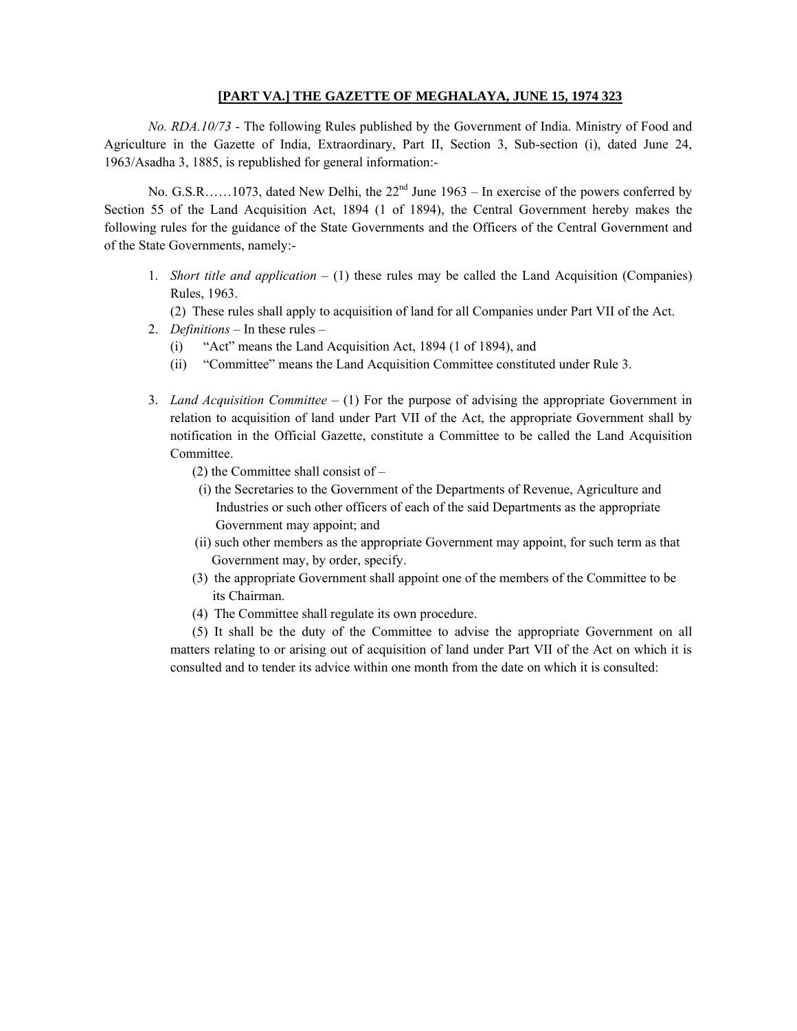#### **[PART VA.] THE GAZETTE OF MEGHALAYA, JUNE 15, 1974 323**

*No. RDA.10/73* - The following Rules published by the Government of India. Ministry of Food and Agriculture in the Gazette of India, Extraordinary, Part II, Section 3, Sub-section (i), dated June 24, 1963/Asadha 3, 1885, is republished for general information:-

No. G.S.R……1073, dated New Delhi, the 22<sup>nd</sup> June 1963 – In exercise of the powers conferred by Section 55 of the Land Acquisition Act, 1894 (1 of 1894), the Central Government hereby makes the following rules for the guidance of the State Governments and the Officers of the Central Government and of the State Governments, namely:-

- 1. *Short title and application*  $(1)$  these rules may be called the Land Acquisition (Companies) Rules, 1963.
	- (2) These rules shall apply to acquisition of land for all Companies under Part VII of the Act.
- 2. *Definitions* In these rules
	- (i) "Act" means the Land Acquisition Act, 1894 (1 of 1894), and
	- (ii) "Committee" means the Land Acquisition Committee constituted under Rule 3.
- 3. *Land Acquisition Committee* (1) For the purpose of advising the appropriate Government in relation to acquisition of land under Part VII of the Act, the appropriate Government shall by notification in the Official Gazette, constitute a Committee to be called the Land Acquisition Committee.
	- (2) the Committee shall consist of
		- (i) the Secretaries to the Government of the Departments of Revenue, Agriculture and Industries or such other officers of each of the said Departments as the appropriate Government may appoint; and
	- (ii) such other members as the appropriate Government may appoint, for such term as that Government may, by order, specify.
	- (3) the appropriate Government shall appoint one of the members of the Committee to be its Chairman.
	- (4) The Committee shall regulate its own procedure.

(5) It shall be the duty of the Committee to advise the appropriate Government on all matters relating to or arising out of acquisition of land under Part VII of the Act on which it is consulted and to tender its advice within one month from the date on which it is consulted: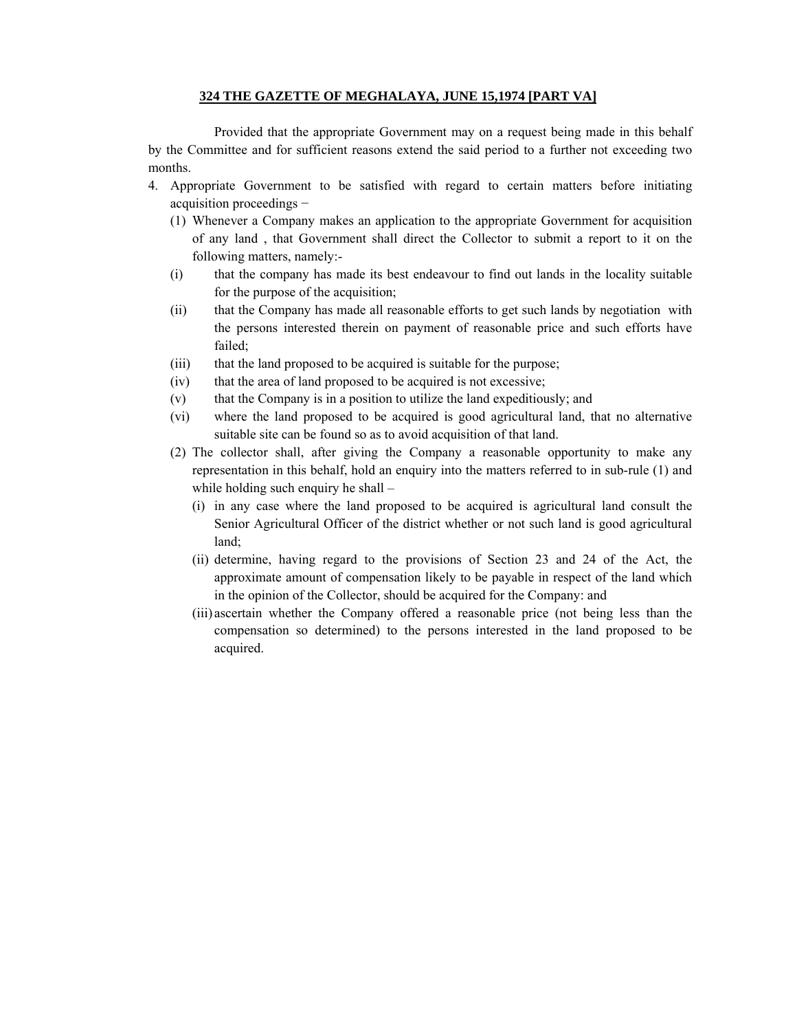# **324 THE GAZETTE OF MEGHALAYA, JUNE 15,1974 [PART VA]**

Provided that the appropriate Government may on a request being made in this behalf by the Committee and for sufficient reasons extend the said period to a further not exceeding two months.

- 4. Appropriate Government to be satisfied with regard to certain matters before initiating acquisition proceedings −
	- (1) Whenever a Company makes an application to the appropriate Government for acquisition of any land , that Government shall direct the Collector to submit a report to it on the following matters, namely:-
	- (i) that the company has made its best endeavour to find out lands in the locality suitable for the purpose of the acquisition;
	- (ii) that the Company has made all reasonable efforts to get such lands by negotiation with the persons interested therein on payment of reasonable price and such efforts have failed;
	- (iii) that the land proposed to be acquired is suitable for the purpose;
	- (iv) that the area of land proposed to be acquired is not excessive;
	- (v) that the Company is in a position to utilize the land expeditiously; and
	- (vi) where the land proposed to be acquired is good agricultural land, that no alternative suitable site can be found so as to avoid acquisition of that land.
	- (2) The collector shall, after giving the Company a reasonable opportunity to make any representation in this behalf, hold an enquiry into the matters referred to in sub-rule (1) and while holding such enquiry he shall –
		- (i) in any case where the land proposed to be acquired is agricultural land consult the Senior Agricultural Officer of the district whether or not such land is good agricultural land;
		- (ii) determine, having regard to the provisions of Section 23 and 24 of the Act, the approximate amount of compensation likely to be payable in respect of the land which in the opinion of the Collector, should be acquired for the Company: and
		- (iii) ascertain whether the Company offered a reasonable price (not being less than the compensation so determined) to the persons interested in the land proposed to be acquired.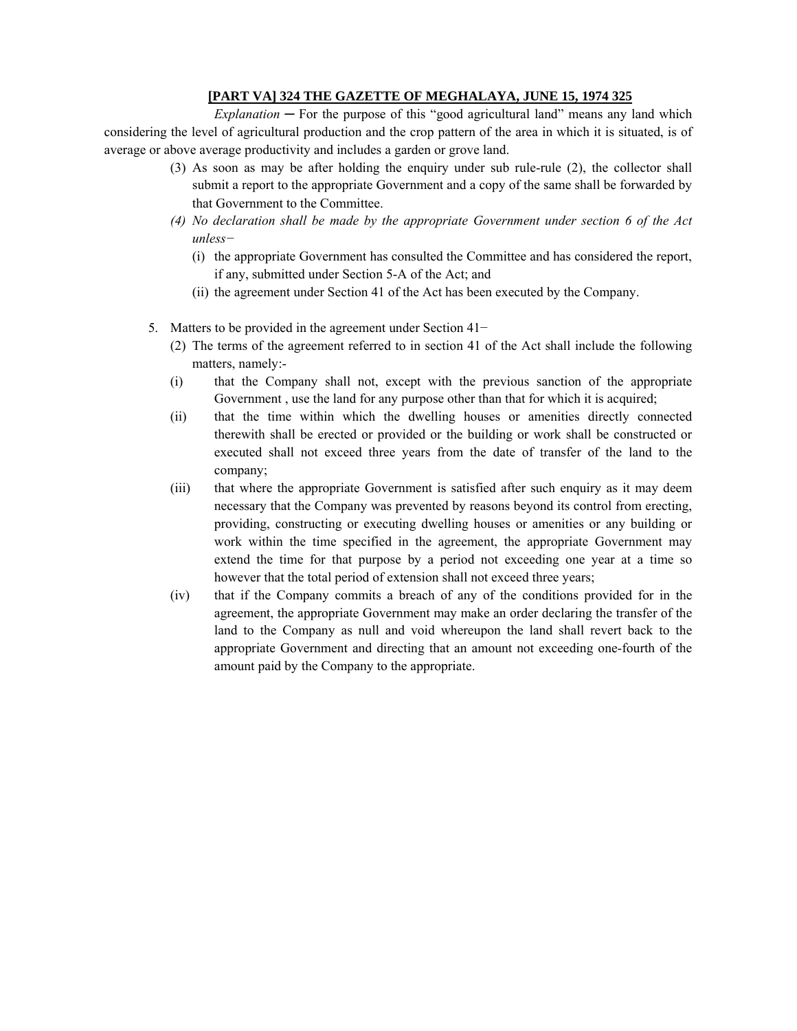# **[PART VA] 324 THE GAZETTE OF MEGHALAYA, JUNE 15, 1974 325**

 $Explanation - For the purpose of this "good agricultural land" means any land which$ considering the level of agricultural production and the crop pattern of the area in which it is situated, is of average or above average productivity and includes a garden or grove land.

- (3) As soon as may be after holding the enquiry under sub rule-rule (2), the collector shall submit a report to the appropriate Government and a copy of the same shall be forwarded by that Government to the Committee.
- *(4) No declaration shall be made by the appropriate Government under section 6 of the Act unless−*
	- (i) the appropriate Government has consulted the Committee and has considered the report, if any, submitted under Section 5-A of the Act; and
	- (ii) the agreement under Section 41 of the Act has been executed by the Company.
- 5. Matters to be provided in the agreement under Section 41−
	- (2) The terms of the agreement referred to in section 41 of the Act shall include the following matters, namely:-
	- (i) that the Company shall not, except with the previous sanction of the appropriate Government , use the land for any purpose other than that for which it is acquired;
	- (ii) that the time within which the dwelling houses or amenities directly connected therewith shall be erected or provided or the building or work shall be constructed or executed shall not exceed three years from the date of transfer of the land to the company;
	- (iii) that where the appropriate Government is satisfied after such enquiry as it may deem necessary that the Company was prevented by reasons beyond its control from erecting, providing, constructing or executing dwelling houses or amenities or any building or work within the time specified in the agreement, the appropriate Government may extend the time for that purpose by a period not exceeding one year at a time so however that the total period of extension shall not exceed three years;
	- (iv) that if the Company commits a breach of any of the conditions provided for in the agreement, the appropriate Government may make an order declaring the transfer of the land to the Company as null and void whereupon the land shall revert back to the appropriate Government and directing that an amount not exceeding one-fourth of the amount paid by the Company to the appropriate.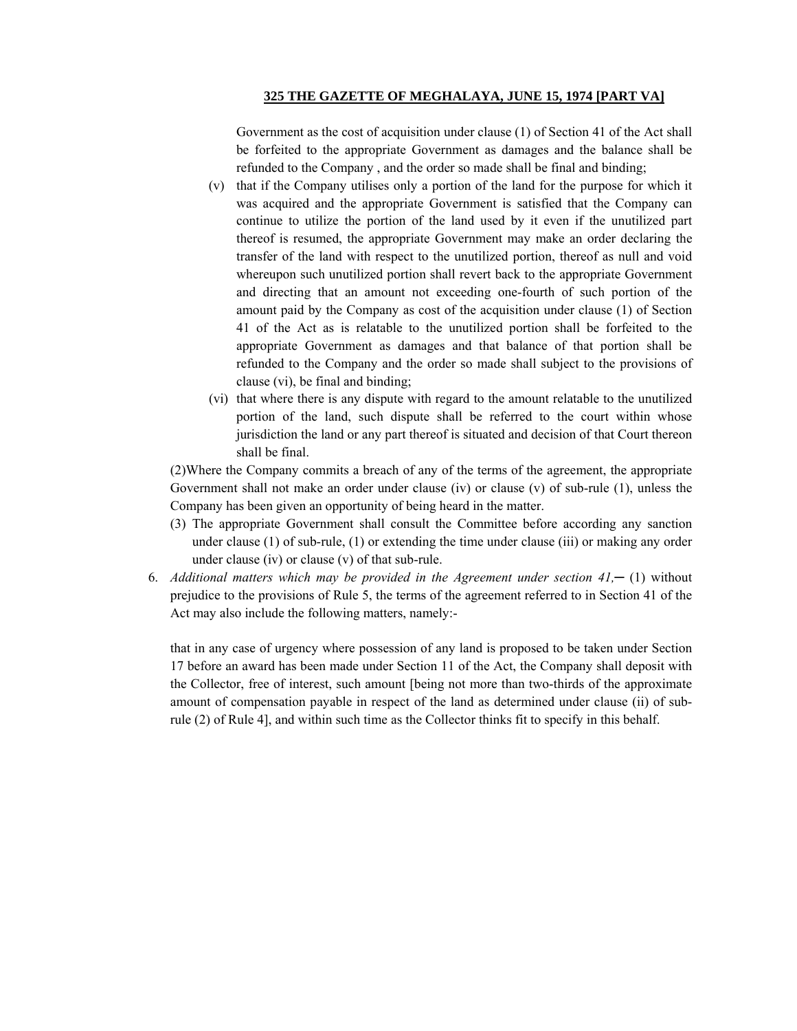### **325 THE GAZETTE OF MEGHALAYA, JUNE 15, 1974 [PART VA]**

Government as the cost of acquisition under clause (1) of Section 41 of the Act shall be forfeited to the appropriate Government as damages and the balance shall be refunded to the Company , and the order so made shall be final and binding;

- (v) that if the Company utilises only a portion of the land for the purpose for which it was acquired and the appropriate Government is satisfied that the Company can continue to utilize the portion of the land used by it even if the unutilized part thereof is resumed, the appropriate Government may make an order declaring the transfer of the land with respect to the unutilized portion, thereof as null and void whereupon such unutilized portion shall revert back to the appropriate Government and directing that an amount not exceeding one-fourth of such portion of the amount paid by the Company as cost of the acquisition under clause (1) of Section 41 of the Act as is relatable to the unutilized portion shall be forfeited to the appropriate Government as damages and that balance of that portion shall be refunded to the Company and the order so made shall subject to the provisions of clause (vi), be final and binding;
- (vi) that where there is any dispute with regard to the amount relatable to the unutilized portion of the land, such dispute shall be referred to the court within whose jurisdiction the land or any part thereof is situated and decision of that Court thereon shall be final.

(2)Where the Company commits a breach of any of the terms of the agreement, the appropriate Government shall not make an order under clause (iv) or clause (v) of sub-rule (1), unless the Company has been given an opportunity of being heard in the matter.

- (3) The appropriate Government shall consult the Committee before according any sanction under clause (1) of sub-rule, (1) or extending the time under clause (iii) or making any order under clause (iv) or clause (v) of that sub-rule.
- 6. *Additional matters which may be provided in the Agreement under section*  $41$ *,* $-$  (1) without prejudice to the provisions of Rule 5, the terms of the agreement referred to in Section 41 of the Act may also include the following matters, namely:-

that in any case of urgency where possession of any land is proposed to be taken under Section 17 before an award has been made under Section 11 of the Act, the Company shall deposit with the Collector, free of interest, such amount [being not more than two-thirds of the approximate amount of compensation payable in respect of the land as determined under clause (ii) of subrule (2) of Rule 4], and within such time as the Collector thinks fit to specify in this behalf.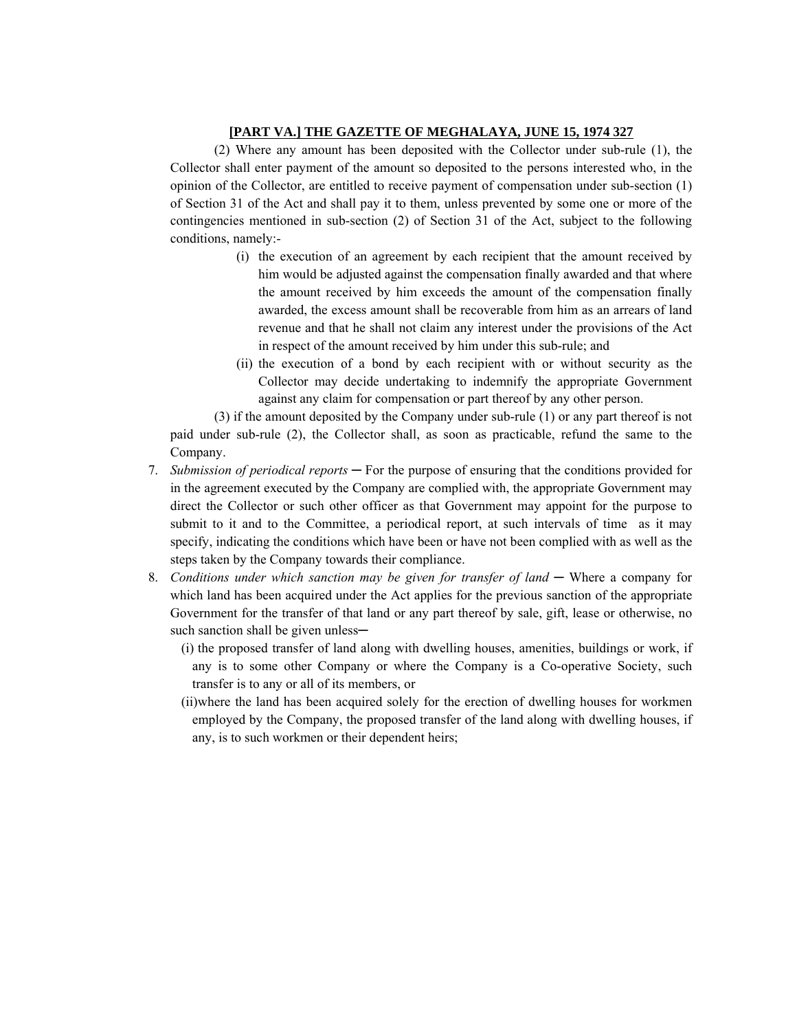# **[PART VA.] THE GAZETTE OF MEGHALAYA, JUNE 15, 1974 327**

(2) Where any amount has been deposited with the Collector under sub-rule (1), the Collector shall enter payment of the amount so deposited to the persons interested who, in the opinion of the Collector, are entitled to receive payment of compensation under sub-section (1) of Section 31 of the Act and shall pay it to them, unless prevented by some one or more of the contingencies mentioned in sub-section (2) of Section 31 of the Act, subject to the following conditions, namely:-

- (i) the execution of an agreement by each recipient that the amount received by him would be adjusted against the compensation finally awarded and that where the amount received by him exceeds the amount of the compensation finally awarded, the excess amount shall be recoverable from him as an arrears of land revenue and that he shall not claim any interest under the provisions of the Act in respect of the amount received by him under this sub-rule; and
- (ii) the execution of a bond by each recipient with or without security as the Collector may decide undertaking to indemnify the appropriate Government against any claim for compensation or part thereof by any other person.

(3) if the amount deposited by the Company under sub-rule (1) or any part thereof is not paid under sub-rule (2), the Collector shall, as soon as practicable, refund the same to the Company.

- 7. *Submission of periodical reports* ─ For the purpose of ensuring that the conditions provided for in the agreement executed by the Company are complied with, the appropriate Government may direct the Collector or such other officer as that Government may appoint for the purpose to submit to it and to the Committee, a periodical report, at such intervals of time as it may specify, indicating the conditions which have been or have not been complied with as well as the steps taken by the Company towards their compliance.
- 8. Conditions under which sanction may be given for transfer of land Where a company for which land has been acquired under the Act applies for the previous sanction of the appropriate Government for the transfer of that land or any part thereof by sale, gift, lease or otherwise, no such sanction shall be given unless-
	- (i) the proposed transfer of land along with dwelling houses, amenities, buildings or work, if any is to some other Company or where the Company is a Co-operative Society, such transfer is to any or all of its members, or
	- (ii)where the land has been acquired solely for the erection of dwelling houses for workmen employed by the Company, the proposed transfer of the land along with dwelling houses, if any, is to such workmen or their dependent heirs;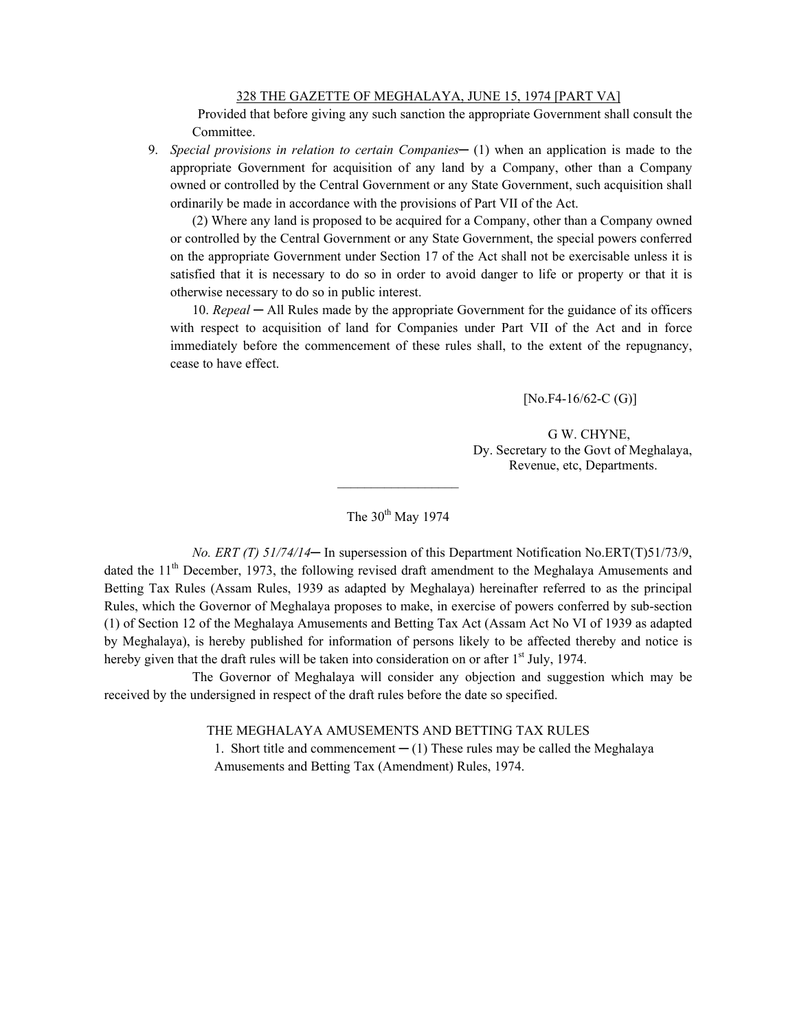Provided that before giving any such sanction the appropriate Government shall consult the Committee.

9. *Special provisions in relation to certain Companies* — (1) when an application is made to the appropriate Government for acquisition of any land by a Company, other than a Company owned or controlled by the Central Government or any State Government, such acquisition shall ordinarily be made in accordance with the provisions of Part VII of the Act.

(2) Where any land is proposed to be acquired for a Company, other than a Company owned or controlled by the Central Government or any State Government, the special powers conferred on the appropriate Government under Section 17 of the Act shall not be exercisable unless it is satisfied that it is necessary to do so in order to avoid danger to life or property or that it is otherwise necessary to do so in public interest.

10. *Repeal* — All Rules made by the appropriate Government for the guidance of its officers with respect to acquisition of land for Companies under Part VII of the Act and in force immediately before the commencement of these rules shall, to the extent of the repugnancy, cease to have effect.

 $[No.F4-16/62-C(G)]$ 

G W. CHYNE, Dy. Secretary to the Govt of Meghalaya, Revenue, etc, Departments.

The  $30^{th}$  May 1974

 $\frac{1}{2}$  ,  $\frac{1}{2}$  ,  $\frac{1}{2}$  ,  $\frac{1}{2}$  ,  $\frac{1}{2}$  ,  $\frac{1}{2}$  ,  $\frac{1}{2}$  ,  $\frac{1}{2}$  ,  $\frac{1}{2}$ 

*No. ERT (T) 51/74/14*— In supersession of this Department Notification No.ERT(T)51/73/9, dated the 11<sup>th</sup> December, 1973, the following revised draft amendment to the Meghalaya Amusements and Betting Tax Rules (Assam Rules, 1939 as adapted by Meghalaya) hereinafter referred to as the principal Rules, which the Governor of Meghalaya proposes to make, in exercise of powers conferred by sub-section (1) of Section 12 of the Meghalaya Amusements and Betting Tax Act (Assam Act No VI of 1939 as adapted by Meghalaya), is hereby published for information of persons likely to be affected thereby and notice is hereby given that the draft rules will be taken into consideration on or after  $1<sup>st</sup>$  July, 1974.

The Governor of Meghalaya will consider any objection and suggestion which may be received by the undersigned in respect of the draft rules before the date so specified.

> THE MEGHALAYA AMUSEMENTS AND BETTING TAX RULES 1. Short title and commencement  $- (1)$  These rules may be called the Meghalaya Amusements and Betting Tax (Amendment) Rules, 1974.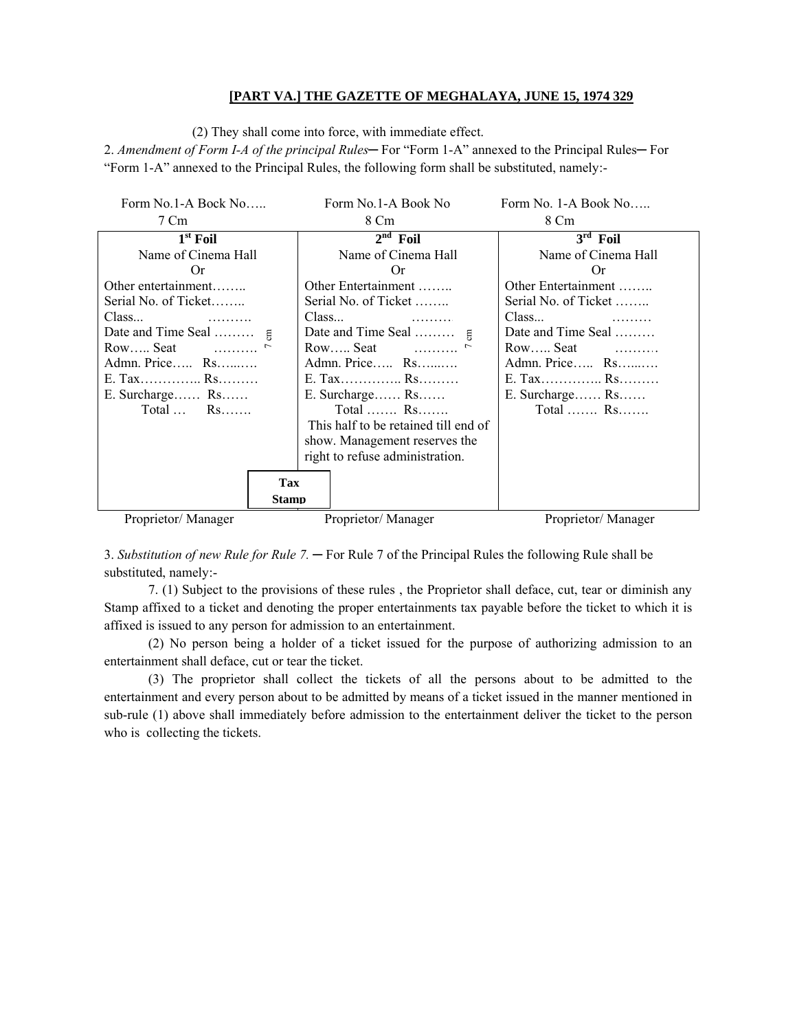# **[PART VA.] THE GAZETTE OF MEGHALAYA, JUNE 15, 1974 329**

(2) They shall come into force, with immediate effect.

2. *Amendment of Form I-A of the principal Rules*— For "Form 1-A" annexed to the Principal Rules— For "Form 1-A" annexed to the Principal Rules, the following form shall be substituted, namely:-

| Form No.1-A Bock No                      |     | Form No.1-A Book No                  |                    | Form No. 1-A Book No                     |
|------------------------------------------|-----|--------------------------------------|--------------------|------------------------------------------|
| 7 Cm                                     |     | 8 Cm                                 |                    | 8 Cm                                     |
| $1st$ Foil                               |     | $2nd$ Foil                           |                    | $3rd$ Foil                               |
| Name of Cinema Hall                      |     | Name of Cinema Hall                  |                    | Name of Cinema Hall                      |
| Or.                                      |     | Or.                                  |                    | Or.                                      |
| Other entertainment                      |     | Other Entertainment                  |                    | Other Entertainment                      |
| Serial No. of Ticket                     |     | Serial No. of Ticket                 |                    | Serial No. of Ticket                     |
| Class                                    |     | Class<br>$\overline{\phantom{a}}$    |                    | Class                                    |
|                                          |     |                                      |                    | Date and Time Seal                       |
| $Row$ Seat $$                            |     | $Row$ Seat $$                        |                    | $Row$ Seat $\qquad \qquad \ldots \ldots$ |
| Admn. Price Rs                           |     |                                      | Admn. Price Rs     | Admn. Price Rs                           |
| E. Tax Rs                                |     | E. Tax Rs                            |                    | E. Tax Rs                                |
| E. Surcharge Rs                          |     | $E.$ Surcharge Rs                    |                    | $E.$ Surcharge $Rs.$                     |
| $Total \dots$ Rs                         |     | Total $Rs$                           |                    | Total $\mathbb{R}$ S                     |
|                                          |     | This half to be retained till end of |                    |                                          |
|                                          |     | show. Management reserves the        |                    |                                          |
|                                          |     | right to refuse administration.      |                    |                                          |
|                                          | Tax |                                      |                    |                                          |
| <b>Stamp</b>                             |     |                                      |                    |                                          |
|                                          |     |                                      |                    |                                          |
| Proprietor/Manager<br>Proprietor/Manager |     |                                      | Proprietor/Manager |                                          |

3. *Substitution of new Rule for Rule 7.* ─ For Rule 7 of the Principal Rules the following Rule shall be substituted, namely:-

7. (1) Subject to the provisions of these rules , the Proprietor shall deface, cut, tear or diminish any Stamp affixed to a ticket and denoting the proper entertainments tax payable before the ticket to which it is affixed is issued to any person for admission to an entertainment.

(2) No person being a holder of a ticket issued for the purpose of authorizing admission to an entertainment shall deface, cut or tear the ticket.

(3) The proprietor shall collect the tickets of all the persons about to be admitted to the entertainment and every person about to be admitted by means of a ticket issued in the manner mentioned in sub-rule (1) above shall immediately before admission to the entertainment deliver the ticket to the person who is collecting the tickets.